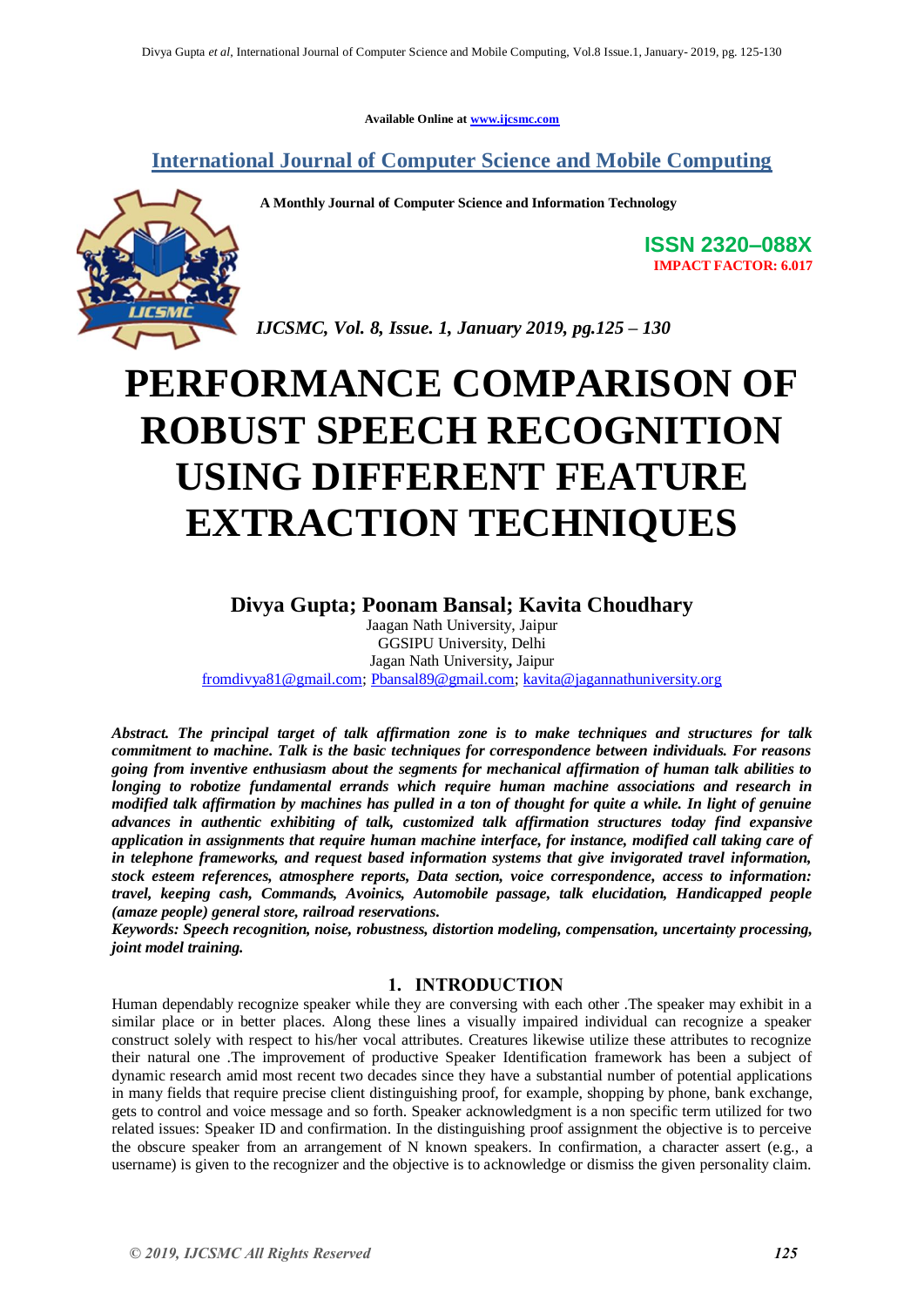**Available Online at [www.ijcsmc.com](http://www.ijcsmc.com/)**

## **International Journal of Computer Science and Mobile Computing**

**A Monthly Journal of Computer Science and Information Technology**



**ISSN 2320–088X IMPACT FACTOR: 6.017**

*IJCSMC, Vol. 8, Issue. 1, January 2019, pg.125 – 130*

# **PERFORMANCE COMPARISON OF ROBUST SPEECH RECOGNITION USING DIFFERENT FEATURE EXTRACTION TECHNIQUES**

### **Divya Gupta; Poonam Bansal; Kavita Choudhary**

Jaagan Nath University, Jaipur GGSIPU University, Delhi Jagan Nath University**,** Jaipur [fromdivya81@gmail.com;](mailto:fromdivya81@gmail.com) [Pbansal89@gmail.com;](mailto:Pbansal89@gmail.com) [kavita@jagannathuniversity.org](mailto:kavita@jagannathuniversity.org)

*Abstract. The principal target of talk affirmation zone is to make techniques and structures for talk commitment to machine. Talk is the basic techniques for correspondence between individuals. For reasons going from inventive enthusiasm about the segments for mechanical affirmation of human talk abilities to longing to robotize fundamental errands which require human machine associations and research in modified talk affirmation by machines has pulled in a ton of thought for quite a while. In light of genuine advances in authentic exhibiting of talk, customized talk affirmation structures today find expansive application in assignments that require human machine interface, for instance, modified call taking care of in telephone frameworks, and request based information systems that give invigorated travel information, stock esteem references, atmosphere reports, Data section, voice correspondence, access to information: travel, keeping cash, Commands, Avoinics, Automobile passage, talk elucidation, Handicapped people (amaze people) general store, railroad reservations.*

*Keywords: Speech recognition, noise, robustness, distortion modeling, compensation, uncertainty processing, joint model training.*

#### **1. INTRODUCTION**

Human dependably recognize speaker while they are conversing with each other .The speaker may exhibit in a similar place or in better places. Along these lines a visually impaired individual can recognize a speaker construct solely with respect to his/her vocal attributes. Creatures likewise utilize these attributes to recognize their natural one .The improvement of productive Speaker Identification framework has been a subject of dynamic research amid most recent two decades since they have a substantial number of potential applications in many fields that require precise client distinguishing proof, for example, shopping by phone, bank exchange, gets to control and voice message and so forth. Speaker acknowledgment is a non specific term utilized for two related issues: Speaker ID and confirmation. In the distinguishing proof assignment the objective is to perceive the obscure speaker from an arrangement of N known speakers. In confirmation, a character assert (e.g., a username) is given to the recognizer and the objective is to acknowledge or dismiss the given personality claim.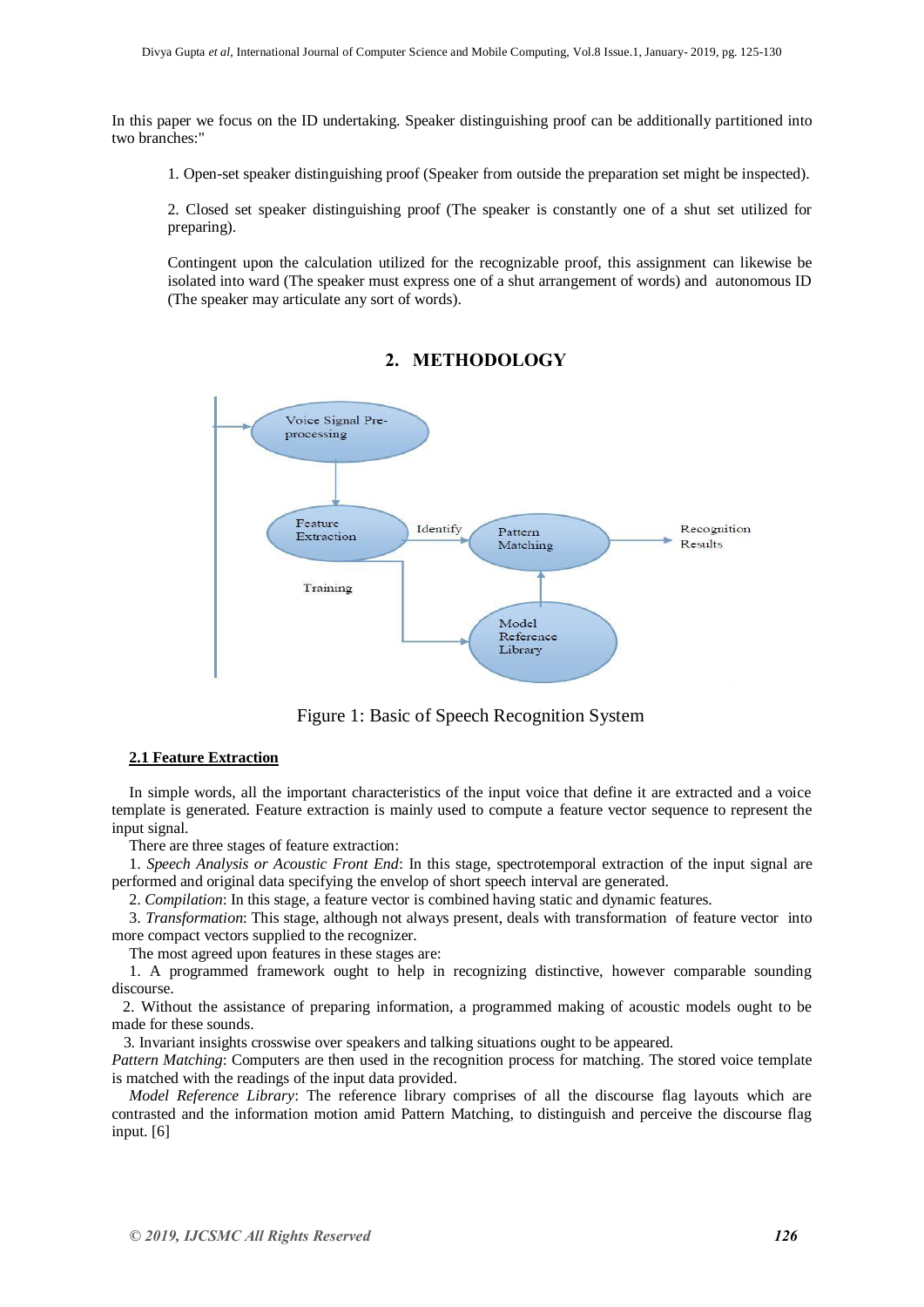In this paper we focus on the ID undertaking. Speaker distinguishing proof can be additionally partitioned into two branches:"

1. Open-set speaker distinguishing proof (Speaker from outside the preparation set might be inspected).

2. Closed set speaker distinguishing proof (The speaker is constantly one of a shut set utilized for preparing).

Contingent upon the calculation utilized for the recognizable proof, this assignment can likewise be isolated into ward (The speaker must express one of a shut arrangement of words) and autonomous ID (The speaker may articulate any sort of words).



#### **2. METHODOLOGY**

Figure 1: Basic of Speech Recognition System

#### **2.1 Feature Extraction**

In simple words, all the important characteristics of the input voice that define it are extracted and a voice template is generated. Feature extraction is mainly used to compute a feature vector sequence to represent the input signal.

There are three stages of feature extraction:

1. *Speech Analysis or Acoustic Front End*: In this stage, spectrotemporal extraction of the input signal are performed and original data specifying the envelop of short speech interval are generated.

2. *Compilation*: In this stage, a feature vector is combined having static and dynamic features.

3. *Transformation*: This stage, although not always present, deals with transformation of feature vector into more compact vectors supplied to the recognizer.

The most agreed upon features in these stages are:

1. A programmed framework ought to help in recognizing distinctive, however comparable sounding discourse.

 2. Without the assistance of preparing information, a programmed making of acoustic models ought to be made for these sounds.

3. Invariant insights crosswise over speakers and talking situations ought to be appeared.

*Pattern Matching*: Computers are then used in the recognition process for matching. The stored voice template is matched with the readings of the input data provided.

*Model Reference Library*: The reference library comprises of all the discourse flag layouts which are contrasted and the information motion amid Pattern Matching, to distinguish and perceive the discourse flag input. [6]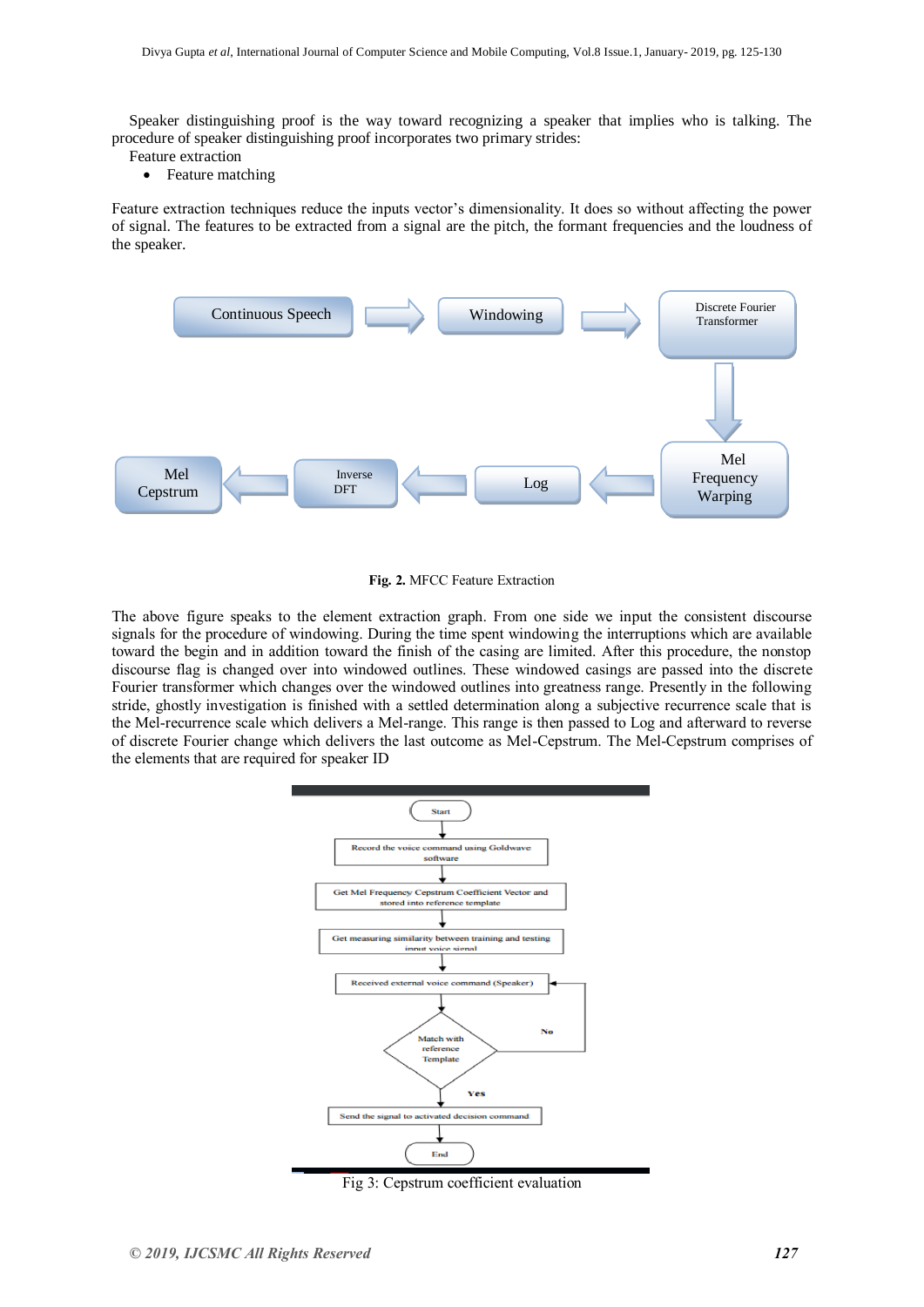Speaker distinguishing proof is the way toward recognizing a speaker that implies who is talking. The procedure of speaker distinguishing proof incorporates two primary strides:

- Feature extraction
	- Feature matching

Feature extraction techniques reduce the inputs vector's dimensionality. It does so without affecting the power of signal. The features to be extracted from a signal are the pitch, the formant frequencies and the loudness of the speaker.



**Fig. 2.** MFCC Feature Extraction

The above figure speaks to the element extraction graph. From one side we input the consistent discourse signals for the procedure of windowing. During the time spent windowing the interruptions which are available toward the begin and in addition toward the finish of the casing are limited. After this procedure, the nonstop discourse flag is changed over into windowed outlines. These windowed casings are passed into the discrete Fourier transformer which changes over the windowed outlines into greatness range. Presently in the following stride, ghostly investigation is finished with a settled determination along a subjective recurrence scale that is the Mel-recurrence scale which delivers a Mel-range. This range is then passed to Log and afterward to reverse of discrete Fourier change which delivers the last outcome as Mel-Cepstrum. The Mel-Cepstrum comprises of the elements that are required for speaker ID



Fig 3: Cepstrum coefficient evaluation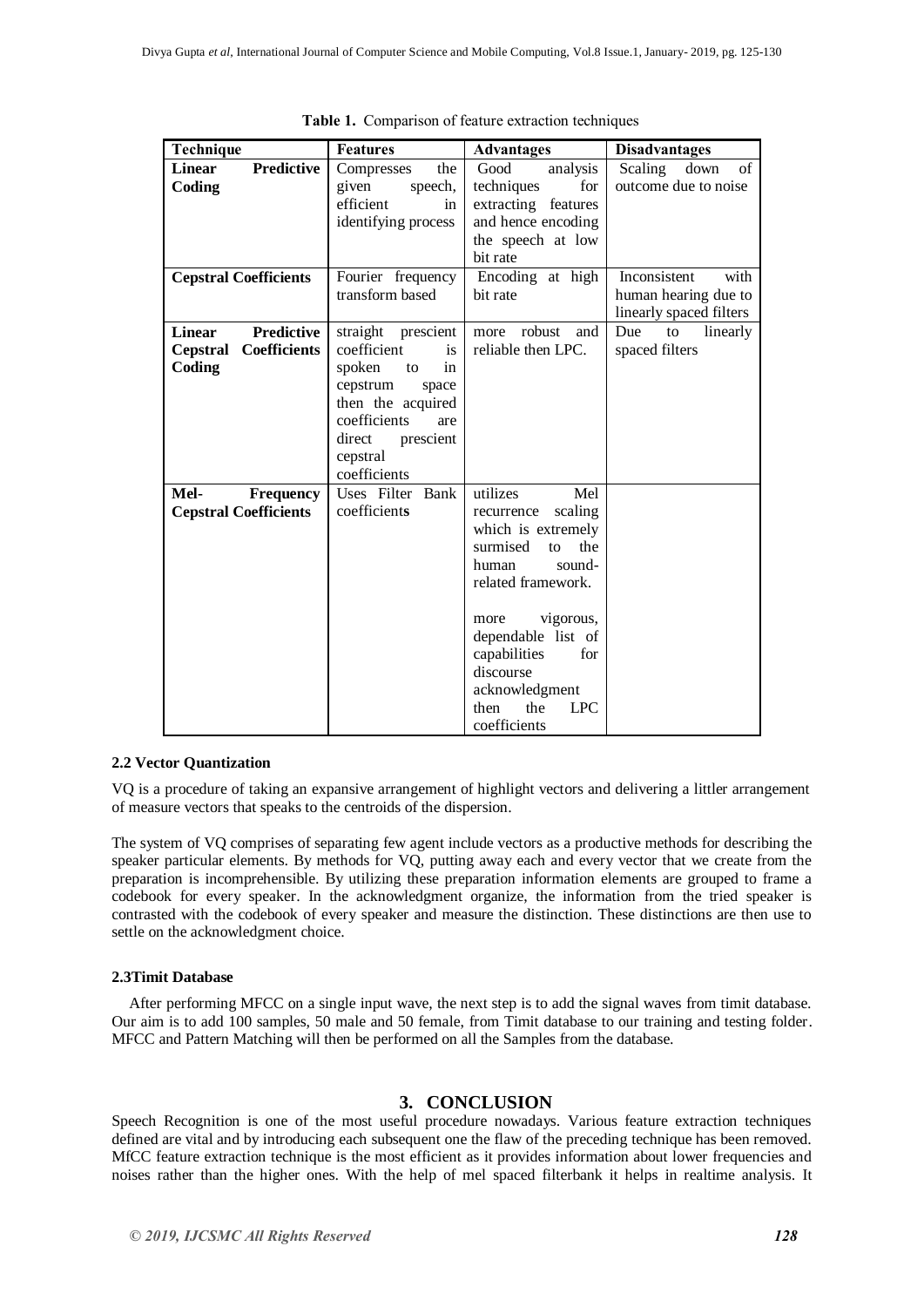| Technique                          | <b>Features</b>                   | <b>Advantages</b>         | <b>Disadvantages</b>    |
|------------------------------------|-----------------------------------|---------------------------|-------------------------|
| <b>Predictive</b><br><b>Linear</b> | the<br>Compresses                 | Good<br>analysis          | of<br>Scaling<br>down   |
| Coding                             | given<br>speech,                  | techniques<br>for         | outcome due to noise    |
|                                    | efficient<br>in                   | extracting features       |                         |
|                                    | identifying process               | and hence encoding        |                         |
|                                    |                                   | the speech at low         |                         |
|                                    |                                   | bit rate                  |                         |
| <b>Cepstral Coefficients</b>       | Fourier frequency                 | Encoding at high          | Inconsistent<br>with    |
|                                    | transform based                   | bit rate                  | human hearing due to    |
|                                    |                                   |                           | linearly spaced filters |
| <b>Predictive</b><br><b>Linear</b> | straight prescient                | more robust<br>and        | Due<br>linearly<br>to   |
| <b>Coefficients</b><br>Cepstral    | coefficient<br>is                 | reliable then LPC.        | spaced filters          |
| Coding                             | spoken<br>in<br>to                |                           |                         |
|                                    | cepstrum<br>space                 |                           |                         |
|                                    | then the acquired<br>coefficients |                           |                         |
|                                    | are<br>direct                     |                           |                         |
|                                    | prescient<br>cepstral             |                           |                         |
|                                    | coefficients                      |                           |                         |
| Mel-<br><b>Frequency</b>           | Uses Filter Bank                  | utilizes<br>Mel           |                         |
| <b>Cepstral Coefficients</b>       | coefficients                      | scaling<br>recurrence     |                         |
|                                    |                                   | which is extremely        |                         |
|                                    |                                   | surmised<br>the<br>to     |                         |
|                                    |                                   | human<br>sound-           |                         |
|                                    |                                   | related framework.        |                         |
|                                    |                                   |                           |                         |
|                                    |                                   | vigorous,<br>more         |                         |
|                                    |                                   | dependable list of        |                         |
|                                    |                                   | capabilities<br>for       |                         |
|                                    |                                   | discourse                 |                         |
|                                    |                                   | acknowledgment            |                         |
|                                    |                                   | the<br><b>LPC</b><br>then |                         |
|                                    |                                   | coefficients              |                         |

**Table 1.** Comparison of feature extraction techniques

#### **2.2 Vector Quantization**

VQ is a procedure of taking an expansive arrangement of highlight vectors and delivering a littler arrangement of measure vectors that speaks to the centroids of the dispersion.

The system of VQ comprises of separating few agent include vectors as a productive methods for describing the speaker particular elements. By methods for VQ, putting away each and every vector that we create from the preparation is incomprehensible. By utilizing these preparation information elements are grouped to frame a codebook for every speaker. In the acknowledgment organize, the information from the tried speaker is contrasted with the codebook of every speaker and measure the distinction. These distinctions are then use to settle on the acknowledgment choice.

#### **2.3Timit Database**

After performing MFCC on a single input wave, the next step is to add the signal waves from timit database. Our aim is to add 100 samples, 50 male and 50 female, from Timit database to our training and testing folder. MFCC and Pattern Matching will then be performed on all the Samples from the database.

#### **3. CONCLUSION**

Speech Recognition is one of the most useful procedure nowadays. Various feature extraction techniques defined are vital and by introducing each subsequent one the flaw of the preceding technique has been removed. MfCC feature extraction technique is the most efficient as it provides information about lower frequencies and noises rather than the higher ones. With the help of mel spaced filterbank it helps in realtime analysis. It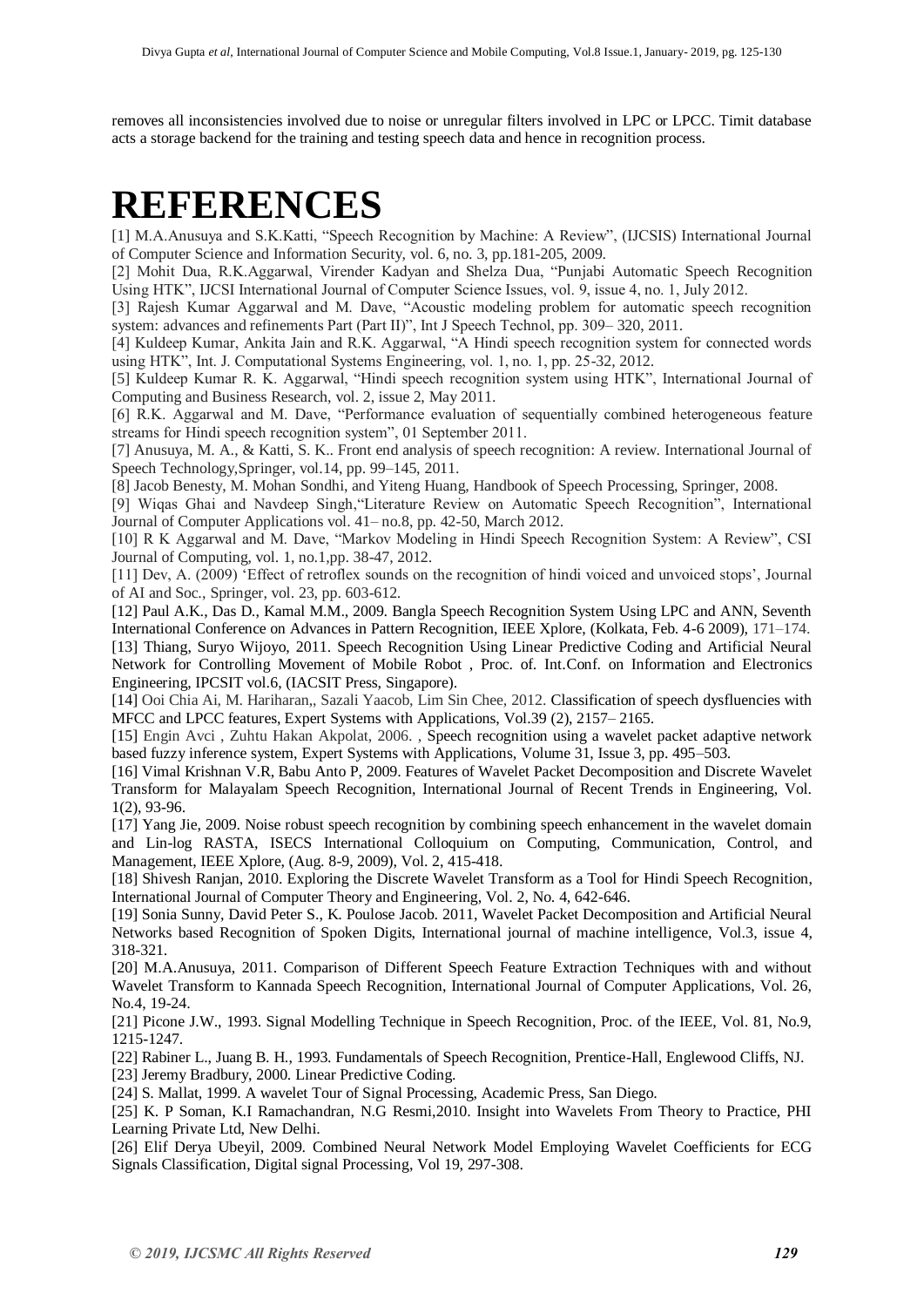removes all inconsistencies involved due to noise or unregular filters involved in LPC or LPCC. Timit database acts a storage backend for the training and testing speech data and hence in recognition process.

## **REFERENCES**

[1] M.A.Anusuya and S.K.Katti, "Speech Recognition by Machine: A Review", (IJCSIS) International Journal of Computer Science and Information Security, vol. 6, no. 3, pp.181-205, 2009.

[2] Mohit Dua, R.K.Aggarwal, Virender Kadyan and Shelza Dua, "Punjabi Automatic Speech Recognition Using HTK", IJCSI International Journal of Computer Science Issues, vol. 9, issue 4, no. 1, July 2012.

[3] Rajesh Kumar Aggarwal and M. Dave, "Acoustic modeling problem for automatic speech recognition system: advances and refinements Part (Part II)", Int J Speech Technol, pp. 309– 320, 2011.

[4] Kuldeep Kumar, Ankita Jain and R.K. Aggarwal, "A Hindi speech recognition system for connected words using HTK", Int. J. Computational Systems Engineering, vol. 1, no. 1, pp. 25-32, 2012.

[5] Kuldeep Kumar R. K. Aggarwal, "Hindi speech recognition system using HTK", International Journal of Computing and Business Research, vol. 2, issue 2, May 2011.

[6] R.K. Aggarwal and M. Dave, "Performance evaluation of sequentially combined heterogeneous feature streams for Hindi speech recognition system", 01 September 2011.

[7] Anusuya, M. A., & Katti, S. K.. Front end analysis of speech recognition: A review. International Journal of Speech Technology,Springer, vol.14, pp. 99–145, 2011.

[8] Jacob Benesty, M. Mohan Sondhi, and Yiteng Huang, Handbook of Speech Processing, Springer, 2008.

[9] Wiqas Ghai and Navdeep Singh,"Literature Review on Automatic Speech Recognition", International Journal of Computer Applications vol. 41– no.8, pp. 42-50, March 2012.

[10] R K Aggarwal and M. Dave, "Markov Modeling in Hindi Speech Recognition System: A Review", CSI Journal of Computing, vol. 1, no.1,pp. 38-47, 2012.

[11] Dev, A. (2009) "Effect of retroflex sounds on the recognition of hindi voiced and unvoiced stops", Journal of AI and Soc., Springer, vol. 23, pp. 603-612.

[12] Paul A.K., Das D., Kamal M.M., 2009. Bangla Speech Recognition System Using LPC and ANN, Seventh International Conference on Advances in Pattern Recognition, IEEE Xplore, (Kolkata, Feb. 4-6 2009), 171–174. [13] Thiang, Suryo Wijoyo, 2011. Speech Recognition Using Linear Predictive Coding and Artificial Neural Network for Controlling Movement of Mobile Robot , Proc. of. Int.Conf. on Information and Electronics

Engineering, IPCSIT vol.6, (IACSIT Press, Singapore).

[14] Ooi Chia Ai, M. Hariharan,, Sazali Yaacob, Lim Sin Chee, 2012. Classification of speech dysfluencies with MFCC and LPCC features, Expert Systems with Applications, Vol.39 (2), 2157– 2165.

[15] Engin Avci , Zuhtu Hakan Akpolat, 2006. , Speech recognition using a wavelet packet adaptive network based fuzzy inference system, Expert Systems with Applications, Volume 31, Issue 3, pp. 495–503.

[16] Vimal Krishnan V.R, Babu Anto P, 2009. Features of Wavelet Packet Decomposition and Discrete Wavelet Transform for Malayalam Speech Recognition, International Journal of Recent Trends in Engineering, Vol. 1(2), 93-96.

[17] Yang Jie, 2009. Noise robust speech recognition by combining speech enhancement in the wavelet domain and Lin-log RASTA, ISECS International Colloquium on Computing, Communication, Control, and Management, IEEE Xplore, (Aug. 8-9, 2009), Vol. 2, 415-418.

[18] Shivesh Ranjan, 2010. Exploring the Discrete Wavelet Transform as a Tool for Hindi Speech Recognition, International Journal of Computer Theory and Engineering, Vol. 2, No. 4, 642-646.

[19] Sonia Sunny, David Peter S., K. Poulose Jacob. 2011, Wavelet Packet Decomposition and Artificial Neural Networks based Recognition of Spoken Digits, International journal of machine intelligence, Vol.3, issue 4, 318-321.

[20] M.A.Anusuya, 2011. Comparison of Different Speech Feature Extraction Techniques with and without Wavelet Transform to Kannada Speech Recognition, International Journal of Computer Applications, Vol. 26, No.4, 19-24.

[21] Picone J.W., 1993. Signal Modelling Technique in Speech Recognition, Proc. of the IEEE, Vol. 81, No.9, 1215-1247.

[22] Rabiner L., Juang B. H., 1993. Fundamentals of Speech Recognition, Prentice-Hall, Englewood Cliffs, NJ.

[23] Jeremy Bradbury, 2000. Linear Predictive Coding.

[24] S. Mallat, 1999. A wavelet Tour of Signal Processing, Academic Press, San Diego.

[25] K. P Soman, K.I Ramachandran, N.G Resmi,2010. Insight into Wavelets From Theory to Practice, PHI Learning Private Ltd, New Delhi.

[26] Elif Derya Ubeyil, 2009. Combined Neural Network Model Employing Wavelet Coefficients for ECG Signals Classification, Digital signal Processing, Vol 19, 297-308.